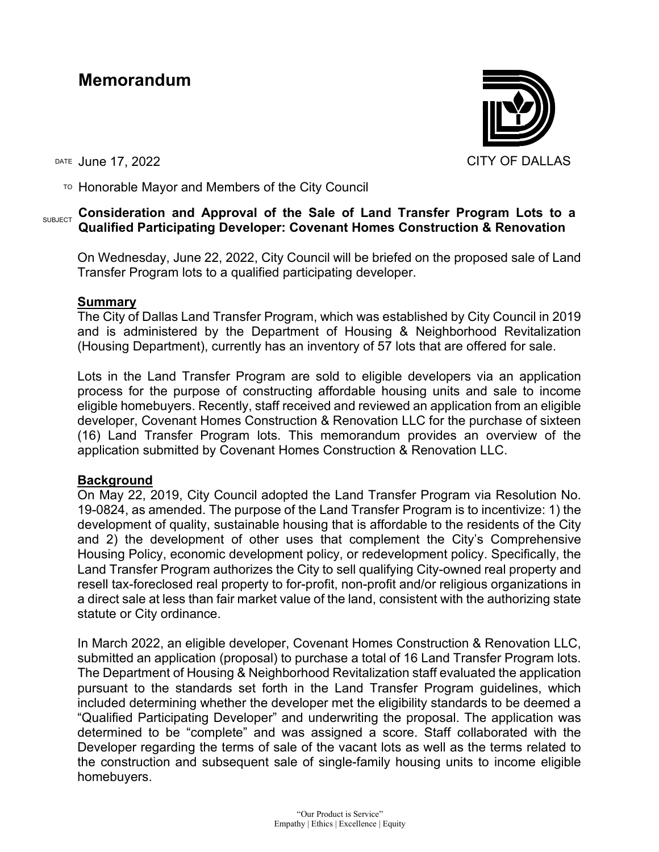# **Memorandum**

DATE June 17, 2022 CITY OF DALLAS

 $T$ <sup>O</sup> Honorable Mayor and Members of the City Council

# **SUBJECT** Consideration and Approval of the Sale of Land Transfer Program Lots to a **Qualified Participating Developer: Covenant Homes Construction & Renovation**

On Wednesday, June 22, 2022, City Council will be briefed on the proposed sale of Land Transfer Program lots to a qualified participating developer.

## **Summary**

The City of Dallas Land Transfer Program, which was established by City Council in 2019 and is administered by the Department of Housing & Neighborhood Revitalization (Housing Department), currently has an inventory of 57 lots that are offered for sale.

Lots in the Land Transfer Program are sold to eligible developers via an application process for the purpose of constructing affordable housing units and sale to income eligible homebuyers. Recently, staff received and reviewed an application from an eligible developer, Covenant Homes Construction & Renovation LLC for the purchase of sixteen (16) Land Transfer Program lots. This memorandum provides an overview of the application submitted by Covenant Homes Construction & Renovation LLC.

# **Background**

On May 22, 2019, City Council adopted the Land Transfer Program via Resolution No. 19-0824, as amended. The purpose of the Land Transfer Program is to incentivize: 1) the development of quality, sustainable housing that is affordable to the residents of the City and 2) the development of other uses that complement the City's Comprehensive Housing Policy, economic development policy, or redevelopment policy. Specifically, the Land Transfer Program authorizes the City to sell qualifying City-owned real property and resell tax-foreclosed real property to for-profit, non-profit and/or religious organizations in a direct sale at less than fair market value of the land, consistent with the authorizing state statute or City ordinance.

In March 2022, an eligible developer, Covenant Homes Construction & Renovation LLC, submitted an application (proposal) to purchase a total of 16 Land Transfer Program lots. The Department of Housing & Neighborhood Revitalization staff evaluated the application pursuant to the standards set forth in the Land Transfer Program guidelines, which included determining whether the developer met the eligibility standards to be deemed a "Qualified Participating Developer" and underwriting the proposal. The application was determined to be "complete" and was assigned a score. Staff collaborated with the Developer regarding the terms of sale of the vacant lots as well as the terms related to the construction and subsequent sale of single-family housing units to income eligible homebuyers.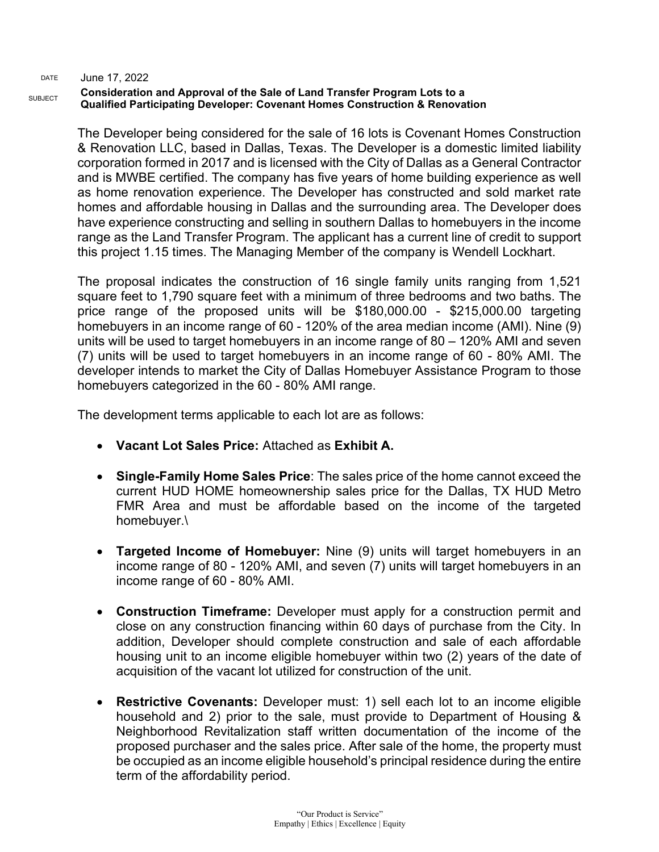#### **Consideration and Approval of the Sale of Land Transfer Program Lots to a Qualified Participating Developer: Covenant Homes Construction & Renovation**

The Developer being considered for the sale of 16 lots is Covenant Homes Construction & Renovation LLC, based in Dallas, Texas. The Developer is a domestic limited liability corporation formed in 2017 and is licensed with the City of Dallas as a General Contractor and is MWBE certified. The company has five years of home building experience as well as home renovation experience. The Developer has constructed and sold market rate homes and affordable housing in Dallas and the surrounding area. The Developer does have experience constructing and selling in southern Dallas to homebuyers in the income range as the Land Transfer Program. The applicant has a current line of credit to support this project 1.15 times. The Managing Member of the company is Wendell Lockhart.

The proposal indicates the construction of 16 single family units ranging from 1,521 square feet to 1,790 square feet with a minimum of three bedrooms and two baths. The price range of the proposed units will be \$180,000.00 - \$215,000.00 targeting homebuyers in an income range of 60 - 120% of the area median income (AMI). Nine (9) units will be used to target homebuyers in an income range of 80 – 120% AMI and seven (7) units will be used to target homebuyers in an income range of 60 - 80% AMI. The developer intends to market the City of Dallas Homebuyer Assistance Program to those homebuyers categorized in the 60 - 80% AMI range.

The development terms applicable to each lot are as follows:

- **Vacant Lot Sales Price:** Attached as **Exhibit A.**
- **Single-Family Home Sales Price**: The sales price of the home cannot exceed the current HUD HOME homeownership sales price for the Dallas, TX HUD Metro FMR Area and must be affordable based on the income of the targeted homebuyer.\
- **Targeted Income of Homebuyer:** Nine (9) units will target homebuyers in an income range of 80 - 120% AMI, and seven (7) units will target homebuyers in an income range of 60 - 80% AMI.
- **Construction Timeframe:** Developer must apply for a construction permit and close on any construction financing within 60 days of purchase from the City. In addition, Developer should complete construction and sale of each affordable housing unit to an income eligible homebuyer within two (2) years of the date of acquisition of the vacant lot utilized for construction of the unit.
- **Restrictive Covenants:** Developer must: 1) sell each lot to an income eligible household and 2) prior to the sale, must provide to Department of Housing & Neighborhood Revitalization staff written documentation of the income of the proposed purchaser and the sales price. After sale of the home, the property must be occupied as an income eligible household's principal residence during the entire term of the affordability period.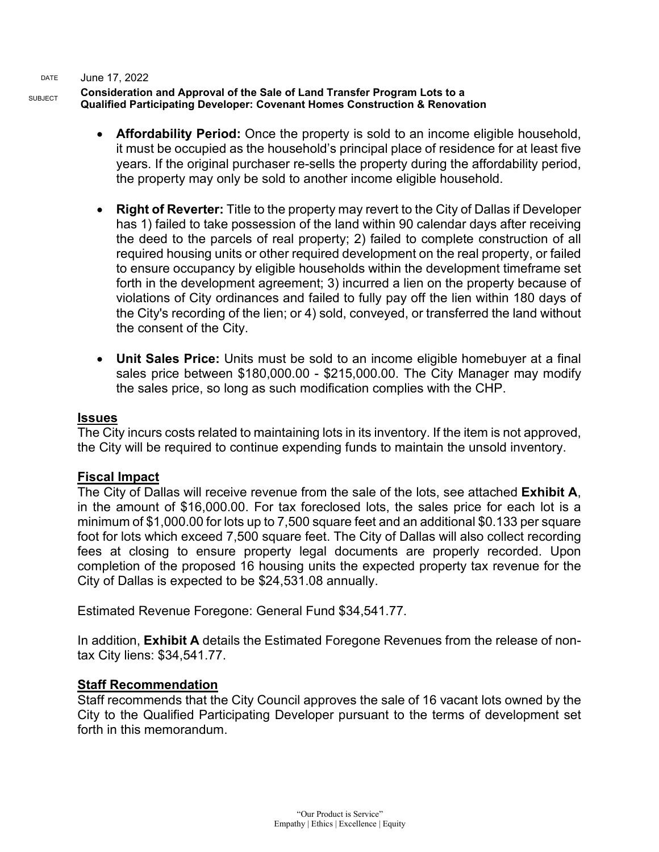#### **Consideration and Approval of the Sale of Land Transfer Program Lots to a Qualified Participating Developer: Covenant Homes Construction & Renovation**

- **Affordability Period:** Once the property is sold to an income eligible household, it must be occupied as the household's principal place of residence for at least five years. If the original purchaser re-sells the property during the affordability period, the property may only be sold to another income eligible household.
- **Right of Reverter:** Title to the property may revert to the City of Dallas if Developer has 1) failed to take possession of the land within 90 calendar days after receiving the deed to the parcels of real property; 2) failed to complete construction of all required housing units or other required development on the real property, or failed to ensure occupancy by eligible households within the development timeframe set forth in the development agreement; 3) incurred a lien on the property because of violations of City ordinances and failed to fully pay off the lien within 180 days of the City's recording of the lien; or 4) sold, conveyed, or transferred the land without the consent of the City.
- **Unit Sales Price:** Units must be sold to an income eligible homebuyer at a final sales price between \$180,000.00 - \$215,000.00. The City Manager may modify the sales price, so long as such modification complies with the CHP.

## **Issues**

The City incurs costs related to maintaining lots in its inventory. If the item is not approved, the City will be required to continue expending funds to maintain the unsold inventory.

# **Fiscal Impact**

The City of Dallas will receive revenue from the sale of the lots, see attached **Exhibit A**, in the amount of \$16,000.00. For tax foreclosed lots, the sales price for each lot is a minimum of \$1,000.00 for lots up to 7,500 square feet and an additional \$0.133 per square foot for lots which exceed 7,500 square feet. The City of Dallas will also collect recording fees at closing to ensure property legal documents are properly recorded. Upon completion of the proposed 16 housing units the expected property tax revenue for the City of Dallas is expected to be \$24,531.08 annually.

Estimated Revenue Foregone: General Fund \$34,541.77.

In addition, **Exhibit A** details the Estimated Foregone Revenues from the release of nontax City liens: \$34,541.77.

#### **Staff Recommendation**

Staff recommends that the City Council approves the sale of 16 vacant lots owned by the City to the Qualified Participating Developer pursuant to the terms of development set forth in this memorandum.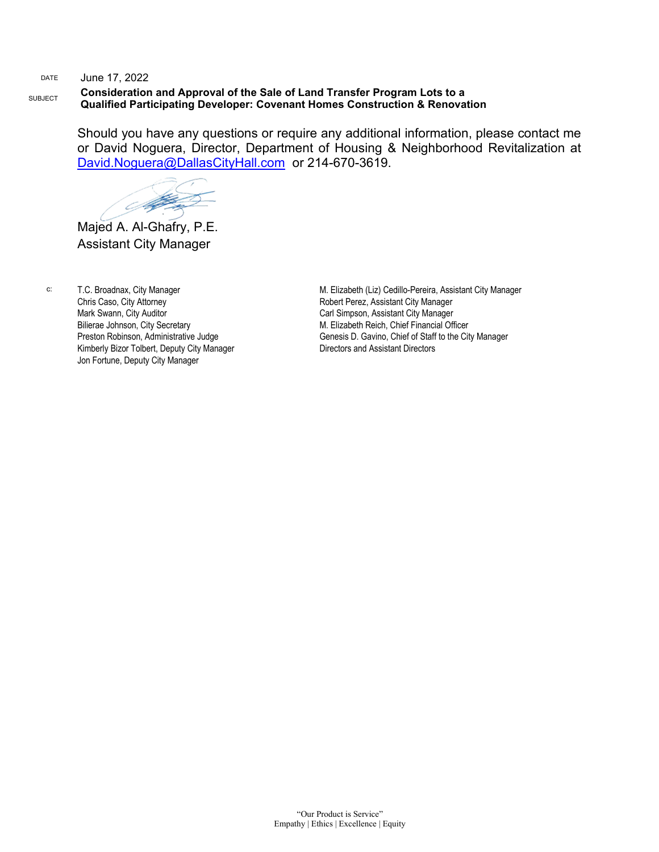### **Consideration and Approval of the Sale of Land Transfer Program Lots to a Qualified Participating Developer: Covenant Homes Construction & Renovation**

Should you have any questions or require any additional information, please contact me or David Noguera, Director, Department of Housing & Neighborhood Revitalization at [David.Noguera@DallasCityHall.com](mailto:David.Noguera@DallasCityHall.com) or 214-670-3619.

Support of

Majed A. Al-Ghafry, P.E. Assistant City Manager

c: T.C. Broadnax, City Manager Chris Caso, City Attorney Mark Swann, City Auditor Bilierae Johnson, City Secretary Preston Robinson, Administrative Judge Kimberly Bizor Tolbert, Deputy City Manager Jon Fortune, Deputy City Manager

M. Elizabeth (Liz) Cedillo-Pereira, Assistant City Manager Robert Perez, Assistant City Manager Carl Simpson, Assistant City Manager M. Elizabeth Reich, Chief Financial Officer Genesis D. Gavino, Chief of Staff to the City Manager Directors and Assistant Directors